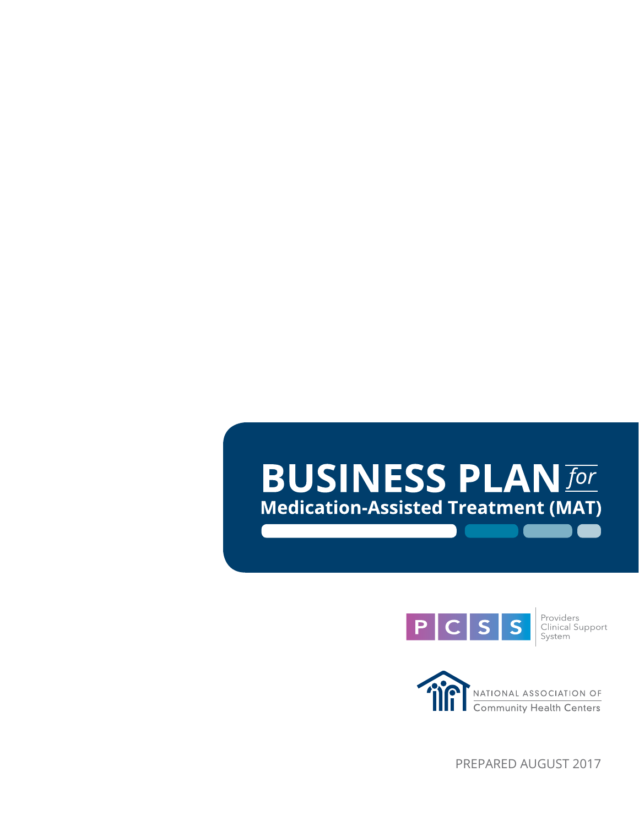# **BUSINESS PLAN** For **Medication-Assisted Treatment (MAT)**



Providers<br>Clinical Support System



PREPARED AUGUST 2017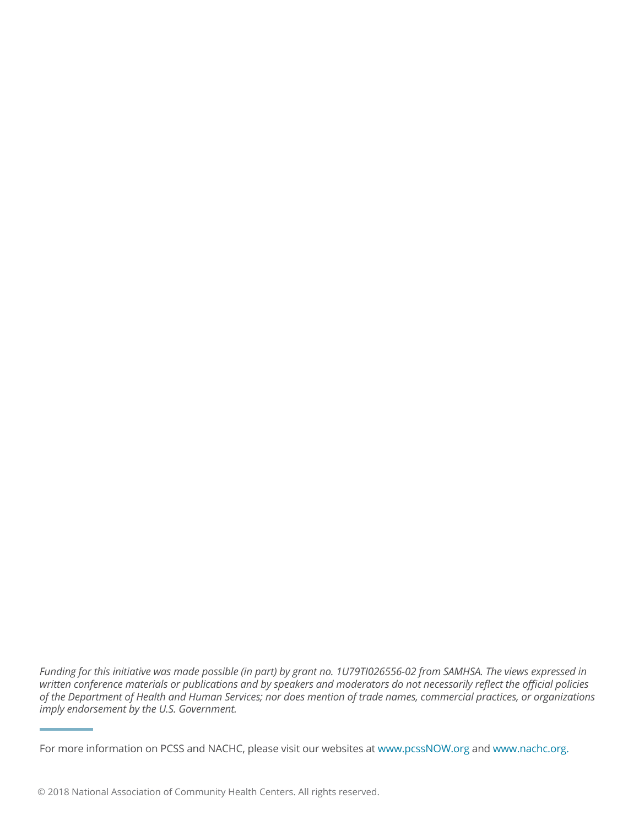*Funding for this initiative was made possible (in part) by grant no. 1U79TI026556-02 from SAMHSA. The views expressed in written conference materials or publications and by speakers and moderators do not necessarily reflect the official policies of the Department of Health and Human Services; nor does mention of trade names, commercial practices, or organizations imply endorsement by the U.S. Government.*

For more information on PCSS and NACHC, please visit our websites at www.pcssNOW.org and www.nachc.org.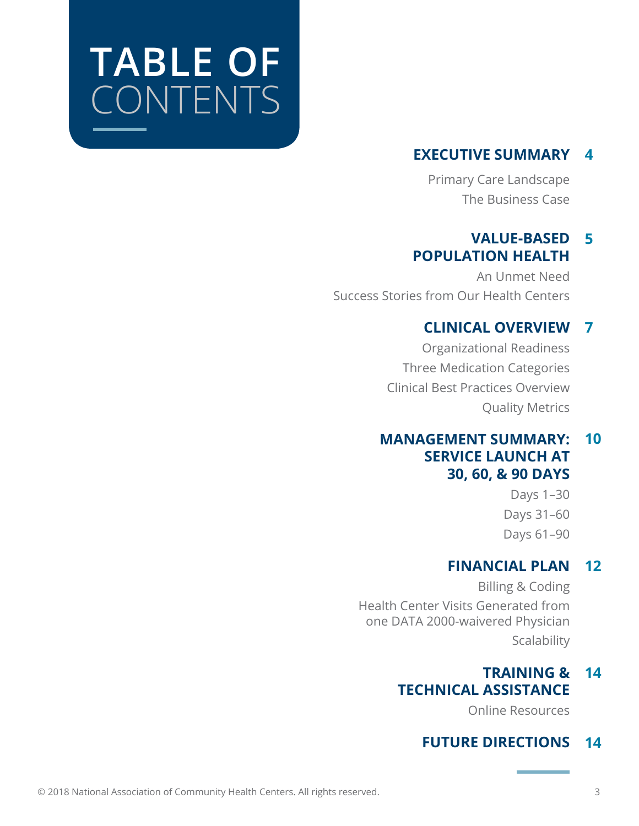# **TABLE OF**  CONTENTS

#### **[EXECUTIVE SUMMARY](#page-3-0) [4](#page-3-0)**

Primary Care Landscape The Business Case

#### **[VALUE-BASED](#page-4-0) [POPULATION HEALTH](#page-4-0) [5](#page-4-0)**

An Unmet Need Success Stories from Our Health Centers

#### **[CLINICAL OVERVIEW](#page-6-0) [7](#page-6-0)**

Organizational Readiness Three Medication Categories Clinical Best Practices Overview Quality Metrics

#### **[MANAGEMENT SUMMARY:](#page-9-0) [SERVICE LAUNCH AT](#page-9-0) [30, 60, & 90 DAYS](#page-9-0) [10](#page-9-0)**

Days 1–30 Days 31–60 Days 61–90

#### **[FINANCIAL PLAN](#page-11-0) [12](#page-11-0)**

Billing & Coding Health Center Visits Generated from one DATA 2000-waivered Physician Scalability

#### **[TRAINING &](#page-13-0) [TECHNICAL ASSISTANCE](#page-13-0) [14](#page-13-0)**

Online Resources

#### **[FUTURE DIRECTIONS](#page-13-0) [14](#page-13-0)**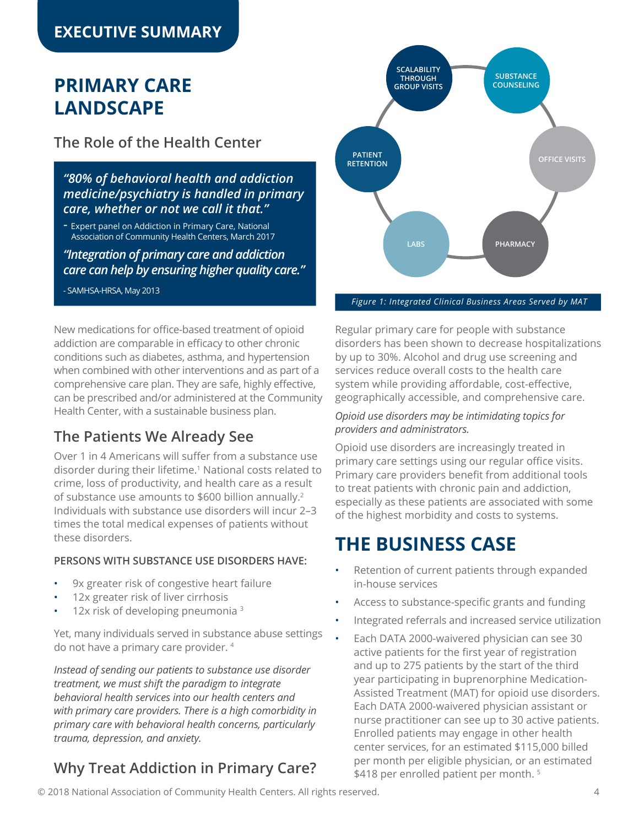# <span id="page-3-0"></span>**PRIMARY CARE LANDSCAPE**

### **The Role of the Health Center**

*"80% of behavioral health and addiction medicine/psychiatry is handled in primary care, whether or not we call it that."* 

- Expert panel on Addiction in Primary Care, National Association of Community Health Centers, March 2017

*"Integration of primary care and addiction care can help by ensuring higher quality care."* 

- SAMHSA-HRSA, May 2013

New medications for office-based treatment of opioid addiction are comparable in efficacy to other chronic conditions such as diabetes, asthma, and hypertension when combined with other interventions and as part of a comprehensive care plan. They are safe, highly effective, can be prescribed and/or administered at the Community Health Center, with a sustainable business plan.

### **The Patients We Already See**

Over 1 in 4 Americans will suffer from a substance use disorder during their lifetime.<sup>1</sup> National costs related to crime, loss of productivity, and health care as a result of substance use amounts to \$600 billion annually.2 Individuals with substance use disorders will incur 2–3 times the total medical expenses of patients without these disorders.

#### **PERSONS WITH SUBSTANCE USE DISORDERS HAVE:**

- 9x greater risk of congestive heart failure
- 12x greater risk of liver cirrhosis
- 12 $x$  risk of developing pneumonia  $3$

Yet, many individuals served in substance abuse settings do not have a primary care provider. 4

*Instead of sending our patients to substance use disorder treatment, we must shift the paradigm to integrate behavioral health services into our health centers and with primary care providers. There is a high comorbidity in primary care with behavioral health concerns, particularly trauma, depression, and anxiety.*

### **Why Treat Addiction in Primary Care?**



 *Figure 1: Integrated Clinical Business Areas Served by MAT*

Regular primary care for people with substance disorders has been shown to decrease hospitalizations by up to 30%. Alcohol and drug use screening and services reduce overall costs to the health care system while providing affordable, cost-effective, geographically accessible, and comprehensive care.

#### *Opioid use disorders may be intimidating topics for providers and administrators.*

Opioid use disorders are increasingly treated in primary care settings using our regular office visits. Primary care providers benefit from additional tools to treat patients with chronic pain and addiction, especially as these patients are associated with some of the highest morbidity and costs to systems.

# **THE BUSINESS CASE**

- Retention of current patients through expanded in-house services
- Access to substance-specific grants and funding
- Integrated referrals and increased service utilization
- Each DATA 2000-waivered physician can see 30 active patients for the first year of registration and up to 275 patients by the start of the third year participating in buprenorphine Medication-Assisted Treatment (MAT) for opioid use disorders. Each DATA 2000-waivered physician assistant or nurse practitioner can see up to 30 active patients. Enrolled patients may engage in other health center services, for an estimated \$115,000 billed per month per eligible physician, or an estimated \$418 per enrolled patient per month. 5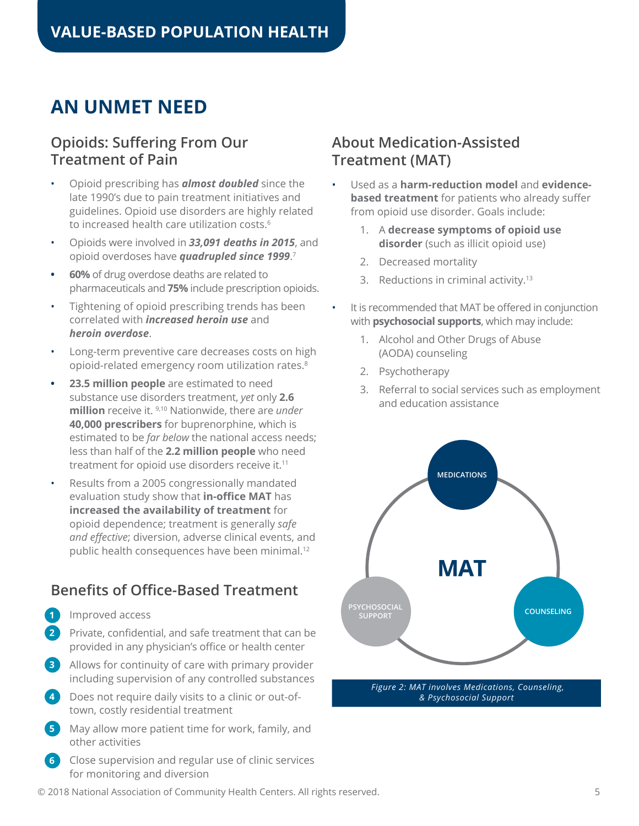# <span id="page-4-0"></span>**AN UNMET NEED**

### **Opioids: Suffering From Our Treatment of Pain**

- Opioid prescribing has *almost doubled* since the late 1990's due to pain treatment initiatives and guidelines. Opioid use disorders are highly related to increased health care utilization costs.<sup>6</sup>
- Opioids were involved in *33,091 deaths in 2015*, and opioid overdoses have *quadrupled since 1999*. 7
- **• 60%** of drug overdose deaths are related to pharmaceuticals and **75%** include prescription opioids.
- Tightening of opioid prescribing trends has been correlated with *increased heroin use* and *heroin overdose*.
- Long-term preventive care decreases costs on high opioid-related emergency room utilization rates.8
- **• 23.5 million people** are estimated to need substance use disorders treatment, *yet* only **2.6 million** receive it. 9,10 Nationwide, there are *under*  **40,000 prescribers** for buprenorphine, which is estimated to be *far below* the national access needs; less than half of the **2.2 million people** who need treatment for opioid use disorders receive it.<sup>11</sup>
- Results from a 2005 congressionally mandated evaluation study show that **in-office MAT** has **increased the availability of treatment** for opioid dependence; treatment is generally *safe and effective*; diversion, adverse clinical events, and public health consequences have been minimal.<sup>12</sup>

### **Benefits of Office-Based Treatment**

- Improved access **1**
- Private, confidential, and safe treatment that can be provided in any physician's office or health center **2**
- **3** Allows for continuity of care with primary provider including supervision of any controlled substances
- Does not require daily visits to a clinic or out-oftown, costly residential treatment **4**
- May allow more patient time for work, family, and other activities **5**
- Close supervision and regular use of clinic services for monitoring and diversion **6**

### **About Medication-Assisted Treatment (MAT)**

- Used as a **harm-reduction model** and **evidencebased treatment** for patients who already suffer from opioid use disorder. Goals include:
	- 1. A **decrease symptoms of opioid use disorder** (such as illicit opioid use)
	- 2. Decreased mortality
	- 3. Reductions in criminal activity.13
- It is recommended that MAT be offered in conjunction with **psychosocial supports**, which may include:
	- 1. Alcohol and Other Drugs of Abuse (AODA) counseling
	- 2. Psychotherapy
	- 3. Referral to social services such as employment and education assistance



*& Psychosocial Support*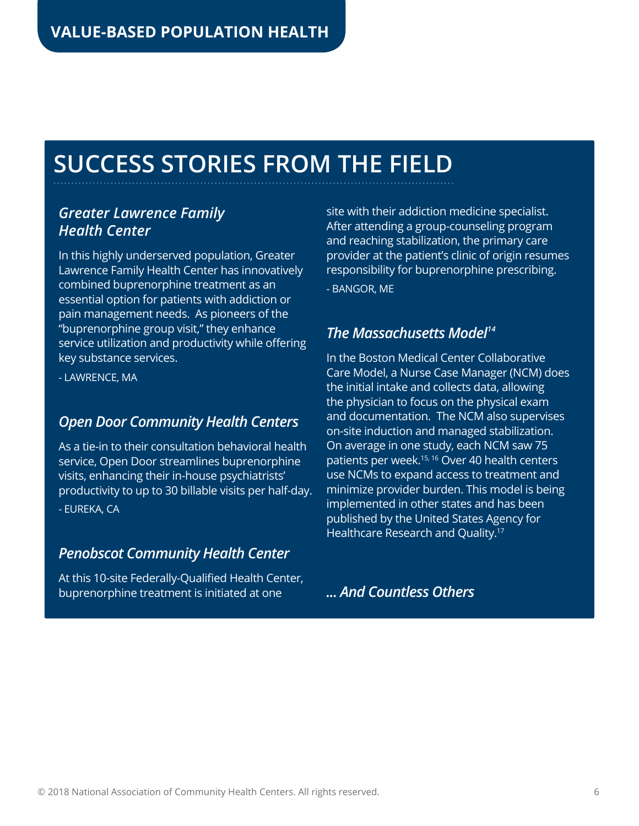# **SUCCESS STORIES FROM THE FIELD**

### *Greater Lawrence Family Health Center*

In this highly underserved population, Greater Lawrence Family Health Center has innovatively combined buprenorphine treatment as an essential option for patients with addiction or pain management needs. As pioneers of the "buprenorphine group visit," they enhance service utilization and productivity while offering key substance services.

- LAWRENCE, MA

### *Open Door Community Health Centers*

As a tie-in to their consultation behavioral health service, Open Door streamlines buprenorphine visits, enhancing their in-house psychiatrists' productivity to up to 30 billable visits per half-day.

- EUREKA, CA

### *Penobscot Community Health Center*

At this 10-site Federally-Qualified Health Center, buprenorphine treatment is initiated at one

site with their addiction medicine specialist. After attending a group-counseling program and reaching stabilization, the primary care provider at the patient's clinic of origin resumes responsibility for buprenorphine prescribing. - BANGOR, ME

### *The Massachusetts Model14*

In the Boston Medical Center Collaborative Care Model, a Nurse Case Manager (NCM) does the initial intake and collects data, allowing the physician to focus on the physical exam and documentation. The NCM also supervises on-site induction and managed stabilization. On average in one study, each NCM saw 75 patients per week.15, 16 Over 40 health centers use NCMs to expand access to treatment and minimize provider burden. This model is being implemented in other states and has been published by the United States Agency for Healthcare Research and Quality.17

*... And Countless Others*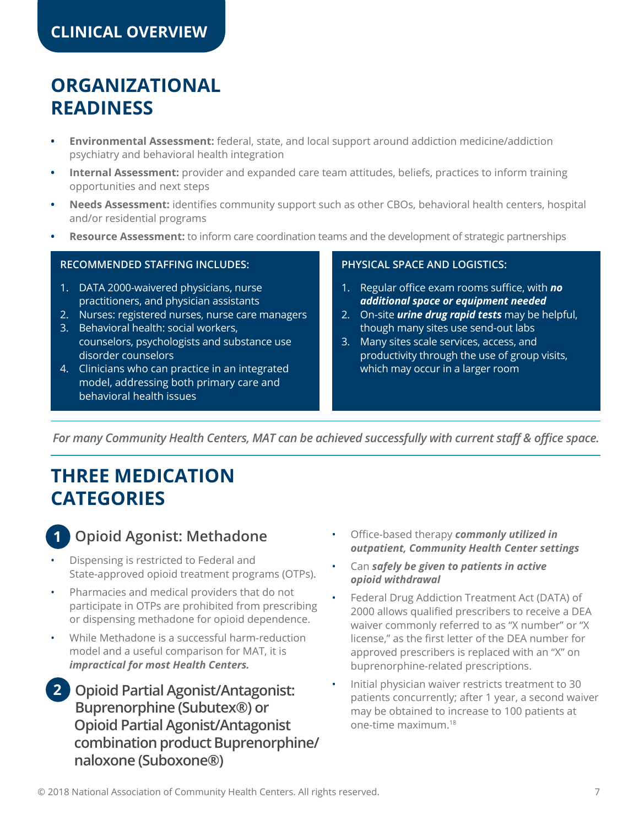# <span id="page-6-0"></span>**ORGANIZATIONAL READINESS**

- **• Environmental Assessment:** federal, state, and local support around addiction medicine/addiction psychiatry and behavioral health integration
- **• Internal Assessment:** provider and expanded care team attitudes, beliefs, practices to inform training opportunities and next steps
- **• Needs Assessment:** identifies community support such as other CBOs, behavioral health centers, hospital and/or residential programs
- **• Resource Assessment:** to inform care coordination teams and the development of strategic partnerships

#### **RECOMMENDED STAFFING INCLUDES:**

- 1. DATA 2000-waivered physicians, nurse practitioners, and physician assistants
- 2. Nurses: registered nurses, nurse care managers
- 3. Behavioral health: social workers, counselors, psychologists and substance use disorder counselors
- 4. Clinicians who can practice in an integrated model, addressing both primary care and behavioral health issues

#### **PHYSICAL SPACE AND LOGISTICS:**

- 1. Regular office exam rooms suffice, with *no additional space or equipment needed*
- 2. On-site *urine drug rapid tests* may be helpful, though many sites use send-out labs
- 3. Many sites scale services, access, and productivity through the use of group visits, which may occur in a larger room

*For many Community Health Centers, MAT can be achieved successfully with current staff & office space.*

# **THREE MEDICATION CATEGORIES**

### **Opioid Agonist: Methadone**

- Dispensing is restricted to Federal and State-approved opioid treatment programs (OTPs).
- Pharmacies and medical providers that do not participate in OTPs are prohibited from prescribing or dispensing methadone for opioid dependence.
- While Methadone is a successful harm-reduction model and a useful comparison for MAT, it is *impractical for most Health Centers.*
- **Opioid Partial Agonist/Antagonist: 2Buprenorphine (Subutex®) or Opioid Partial Agonist/Antagonist combination product Buprenorphine/ naloxone (Suboxone®)**
- Office-based therapy *commonly utilized in outpatient, Community Health Center settings*
- Can *safely be given to patients in active opioid withdrawal*
- Federal Drug Addiction Treatment Act (DATA) of 2000 allows qualified prescribers to receive a DEA waiver commonly referred to as "X number" or "X license," as the first letter of the DEA number for approved prescribers is replaced with an "X" on buprenorphine-related prescriptions.
- Initial physician waiver restricts treatment to 30 patients concurrently; after 1 year, a second waiver may be obtained to increase to 100 patients at one-time maximum.18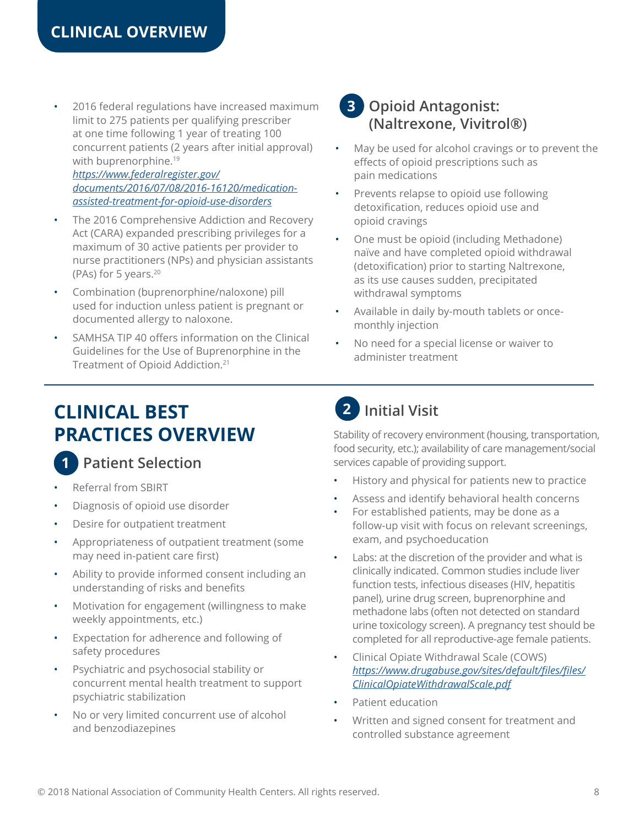- 2016 federal regulations have increased maximum limit to 275 patients per qualifying prescriber at one time following 1 year of treating 100 concurrent patients (2 years after initial approval) with buprenorphine.<sup>19</sup> *[https://www.federalregister.gov/](https://www.federalregister.gov/documents/2016/07/08/2016-16120/medication-assisted-treatment-for-opioid-use-disorders] ) [documents/2016/07/08/2016-16120/medication](https://www.federalregister.gov/documents/2016/07/08/2016-16120/medication-assisted-treatment-for-opioid-use-disorders] )[assisted-treatment-for-opioid-use-disorders](https://www.federalregister.gov/documents/2016/07/08/2016-16120/medication-assisted-treatment-for-opioid-use-disorders] )*
- The 2016 Comprehensive Addiction and Recovery Act (CARA) expanded prescribing privileges for a maximum of 30 active patients per provider to nurse practitioners (NPs) and physician assistants (PAs) for 5 years.20
- Combination (buprenorphine/naloxone) pill used for induction unless patient is pregnant or documented allergy to naloxone.
- SAMHSA TIP 40 offers information on the Clinical Guidelines for the Use of Buprenorphine in the Treatment of Opioid Addiction.21

### **Opioid Antagonist: 3 (Naltrexone, Vivitrol®)**

- May be used for alcohol cravings or to prevent the effects of opioid prescriptions such as pain medications
- Prevents relapse to opioid use following detoxification, reduces opioid use and opioid cravings
- One must be opioid (including Methadone) naïve and have completed opioid withdrawal (detoxification) prior to starting Naltrexone, as its use causes sudden, precipitated withdrawal symptoms
- Available in daily by-mouth tablets or oncemonthly injection
- No need for a special license or waiver to administer treatment

# **CLINICAL BEST PRACTICES OVERVIEW**

#### **Patient Selection 1**

- Referral from SBIRT
- Diagnosis of opioid use disorder
- Desire for outpatient treatment
- Appropriateness of outpatient treatment (some may need in-patient care first)
- Ability to provide informed consent including an understanding of risks and benefits
- Motivation for engagement (willingness to make weekly appointments, etc.)
- Expectation for adherence and following of safety procedures
- Psychiatric and psychosocial stability or concurrent mental health treatment to support psychiatric stabilization
- No or very limited concurrent use of alcohol and benzodiazepines

# **Initial Visit 2**

Stability of recovery environment (housing, transportation, food security, etc.); availability of care management/social services capable of providing support.

- History and physical for patients new to practice
- Assess and identify behavioral health concerns
- For established patients, may be done as a follow-up visit with focus on relevant screenings, exam, and psychoeducation
- Labs: at the discretion of the provider and what is clinically indicated. Common studies include liver function tests, infectious diseases (HIV, hepatitis panel), urine drug screen, buprenorphine and methadone labs (often not detected on standard urine toxicology screen). A pregnancy test should be completed for all reproductive-age female patients.
- Clinical Opiate Withdrawal Scale (COWS) *[https://www.drugabuse.gov/sites/default/files/files/](https://www.drugabuse.gov/sites/default/files/files/ClinicalOpiateWithdrawalScale.pdf) [ClinicalOpiateWithdrawalScale.pdf](https://www.drugabuse.gov/sites/default/files/files/ClinicalOpiateWithdrawalScale.pdf)*
- Patient education
- Written and signed consent for treatment and controlled substance agreement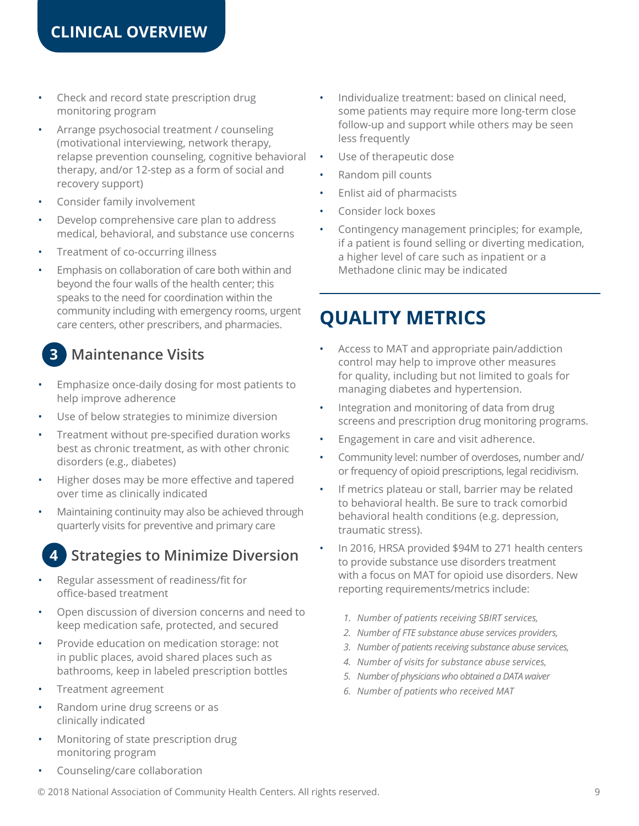- Check and record state prescription drug monitoring program
- Arrange psychosocial treatment / counseling (motivational interviewing, network therapy, relapse prevention counseling, cognitive behavioral therapy, and/or 12-step as a form of social and recovery support)
- Consider family involvement
- Develop comprehensive care plan to address medical, behavioral, and substance use concerns
- Treatment of co-occurring illness
- Emphasis on collaboration of care both within and beyond the four walls of the health center; this speaks to the need for coordination within the community including with emergency rooms, urgent care centers, other prescribers, and pharmacies.

# **Maintenance Visits 3**

- Emphasize once-daily dosing for most patients to help improve adherence
- Use of below strategies to minimize diversion
- Treatment without pre-specified duration works best as chronic treatment, as with other chronic disorders (e.g., diabetes)
- Higher doses may be more effective and tapered over time as clinically indicated
- Maintaining continuity may also be achieved through quarterly visits for preventive and primary care

#### **Strategies to Minimize Diversion 4**

- Regular assessment of readiness/fit for office-based treatment
- Open discussion of diversion concerns and need to keep medication safe, protected, and secured
- Provide education on medication storage: not in public places, avoid shared places such as bathrooms, keep in labeled prescription bottles
- Treatment agreement
- Random urine drug screens or as clinically indicated
- Monitoring of state prescription drug monitoring program
- Counseling/care collaboration
- Individualize treatment: based on clinical need, some patients may require more long-term close follow-up and support while others may be seen less frequently
- Use of therapeutic dose
- Random pill counts
- Enlist aid of pharmacists
- Consider lock boxes
- Contingency management principles; for example, if a patient is found selling or diverting medication, a higher level of care such as inpatient or a Methadone clinic may be indicated

# **QUALITY METRICS**

- Access to MAT and appropriate pain/addiction control may help to improve other measures for quality, including but not limited to goals for managing diabetes and hypertension.
- Integration and monitoring of data from drug screens and prescription drug monitoring programs.
- Engagement in care and visit adherence.
- Community level: number of overdoses, number and/ or frequency of opioid prescriptions, legal recidivism.
- If metrics plateau or stall, barrier may be related to behavioral health. Be sure to track comorbid behavioral health conditions (e.g. depression, traumatic stress).
- In 2016, HRSA provided \$94M to 271 health centers to provide substance use disorders treatment with a focus on MAT for opioid use disorders. New reporting requirements/metrics include:
	- *1. Number of patients receiving SBIRT services,*
	- *2. Number of FTE substance abuse services providers,*
	- *3. Number of patients receiving substance abuse services,*
	- *4. Number of visits for substance abuse services,*
	- *5. Number of physicians who obtained a DATA waiver*
	- *6. Number of patients who received MAT*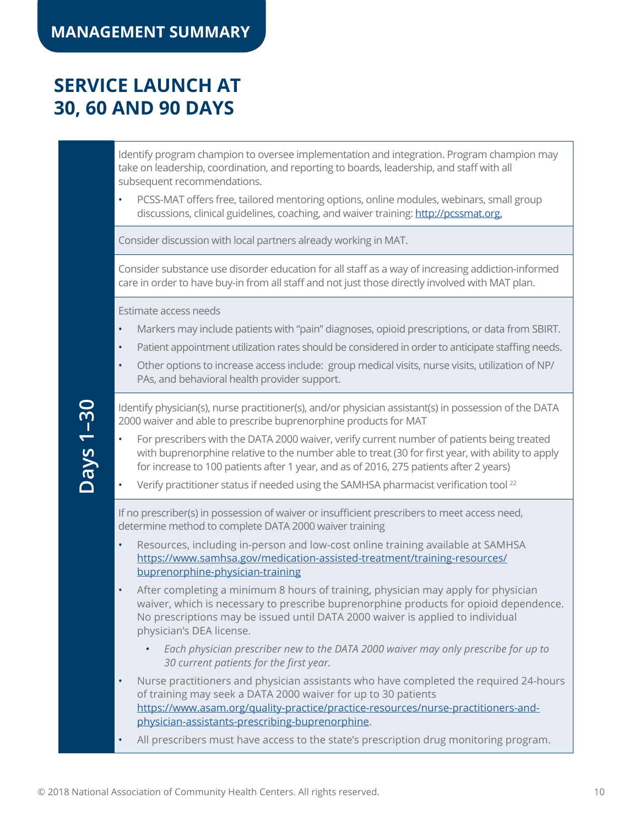# <span id="page-9-0"></span>**SERVICE LAUNCH AT 30, 60 AND 90 DAYS**

Identify program champion to oversee implementation and integration. Program champion may take on leadership, coordination, and reporting to boards, leadership, and staff with all subsequent recommendations.

• PCSS-MAT offers free, tailored mentoring options, online modules, webinars, small group discussions, clinical guidelines, coaching, and waiver training: [http://pcssmat.org.](http://pcssmat.org)

Consider discussion with local partners already working in MAT.

Consider substance use disorder education for all staff as a way of increasing addiction-informed care in order to have buy-in from all staff and not just those directly involved with MAT plan.

Estimate access needs

- Markers may include patients with "pain" diagnoses, opioid prescriptions, or data from SBIRT.
- Patient appointment utilization rates should be considered in order to anticipate staffing needs.
- Other options to increase access include: group medical visits, nurse visits, utilization of NP/ PAs, and behavioral health provider support.

Identify physician(s), nurse practitioner(s), and/or physician assistant(s) in possession of the DATA 2000 waiver and able to prescribe buprenorphine products for MAT

- For prescribers with the DATA 2000 waiver, verify current number of patients being treated with buprenorphine relative to the number able to treat (30 for first year, with ability to apply for increase to 100 patients after 1 year, and as of 2016, 275 patients after 2 years)
- Verify practitioner status if needed using the SAMHSA pharmacist verification tool 22

If no prescriber(s) in possession of waiver or insufficient prescribers to meet access need, determine method to complete DATA 2000 waiver training

- Resources, including in-person and low-cost online training available at SAMHSA [https://www.samhsa.gov/medication-assisted-treatment/training-resources/](https://www.samhsa.gov/medication-assisted-treatment/training-resources/buprenorphine-physician-training) [buprenorphine-physician-training](https://www.samhsa.gov/medication-assisted-treatment/training-resources/buprenorphine-physician-training)
- After completing a minimum 8 hours of training, physician may apply for physician waiver, which is necessary to prescribe buprenorphine products for opioid dependence. No prescriptions may be issued until DATA 2000 waiver is applied to individual physician's DEA license.
	- *• Each physician prescriber new to the DATA 2000 waiver may only prescribe for up to 30 current patients for the first year.*
- Nurse practitioners and physician assistants who have completed the required 24-hours of training may seek a DATA 2000 waiver for up to 30 patients [https://www.asam.org/quality-practice/practice-resources/nurse-practitioners-and](https://www.asam.org/quality-practice/practice-resources/nurse-practitioners-and-physician-assistants-prescribing-buprenorphine)[physician-assistants-prescribing-buprenorphine.](https://www.asam.org/quality-practice/practice-resources/nurse-practitioners-and-physician-assistants-prescribing-buprenorphine)
- All prescribers must have access to the state's prescription drug monitoring program.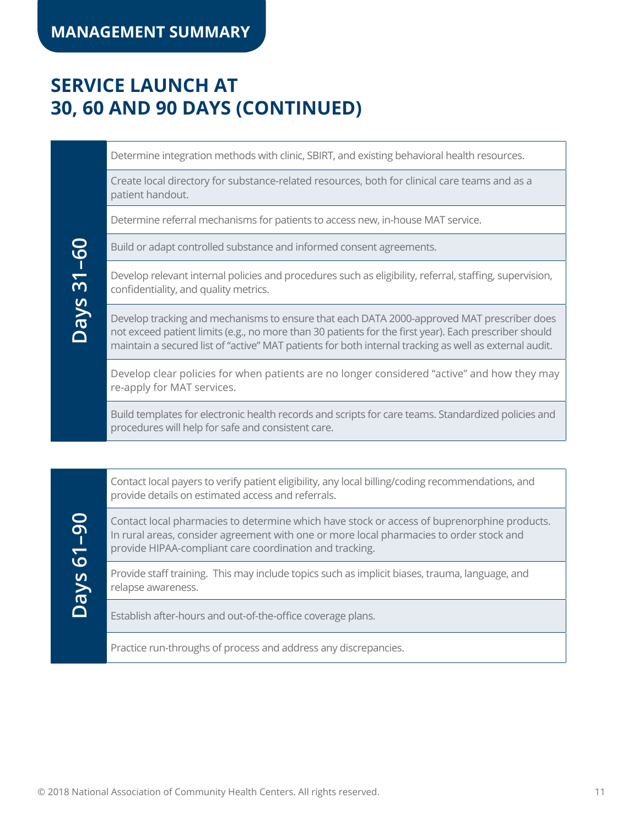# **SERVICE LAUNCH AT 30, 60 AND 90 DAYS (CONTINUED)**

Determine integration methods with clinic, SBIRT, and existing behavioral health resources.

Create local directory for substance-related resources, both for clinical care teams and as a patient handout.

Determine referral mechanisms for patients to access new, in-house MAT service.

Build or adapt controlled substance and informed consent agreements.

Days 31-60 **Days 31–60**

**Days 61–90**

Days 61-90

Develop relevant internal policies and procedures such as eligibility, referral, staffing, supervision, confidentiality, and quality metrics.

Develop tracking and mechanisms to ensure that each DATA 2000-approved MAT prescriber does not exceed patient limits (e.g., no more than 30 patients for the first year). Each prescriber should maintain a secured list of "active" MAT patients for both internal tracking as well as external audit.

Develop clear policies for when patients are no longer considered "active" and how they may re-apply for MAT services.

Build templates for electronic health records and scripts for care teams. Standardized policies and procedures will help for safe and consistent care.

Contact local payers to verify patient eligibility, any local billing/coding recommendations, and provide details on estimated access and referrals.

Contact local pharmacies to determine which have stock or access of buprenorphine products. In rural areas, consider agreement with one or more local pharmacies to order stock and provide HIPAA-compliant care coordination and tracking.

Provide staff training. This may include topics such as implicit biases, trauma, language, and relapse awareness.

Establish after-hours and out-of-the-office coverage plans.

Practice run-throughs of process and address any discrepancies.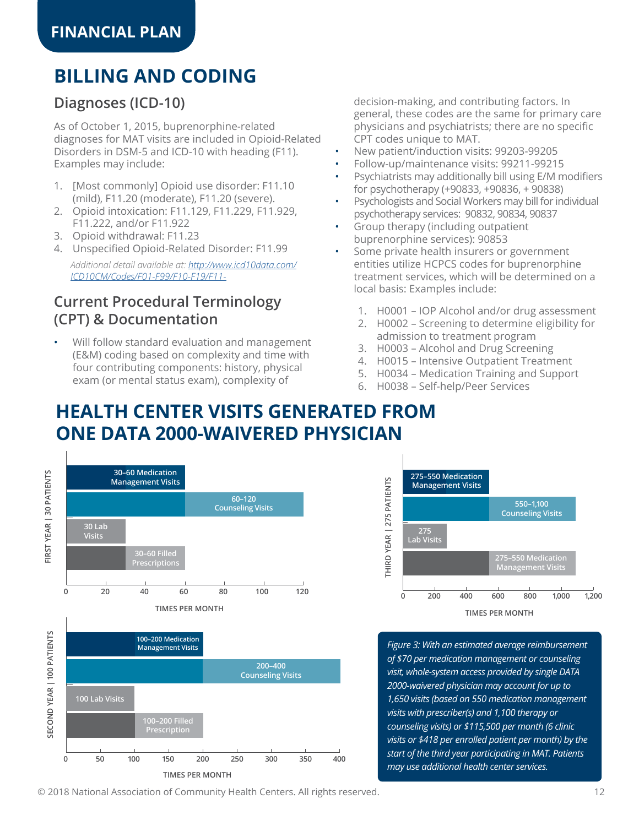# <span id="page-11-0"></span>**BILLING AND CODING**

### **Diagnoses (ICD-10)**

As of October 1, 2015, buprenorphine-related diagnoses for MAT visits are included in Opioid-Related Disorders in DSM-5 and ICD-10 with heading (F11). Examples may include:

- 1. [Most commonly] Opioid use disorder: F11.10 (mild), F11.20 (moderate), F11.20 (severe).
- 2. Opioid intoxication: F11.129, F11.229, F11.929, F11.222, and/or F11.922
- 3. Opioid withdrawal: F11.23
- 4. Unspecified Opioid-Related Disorder: F11.99 *Additional detail available at: [http://www.icd10data.com/](http://www.icd10data.com/ICD10CM/Codes/F01-F99/F10-F19/F11-) [ICD10CM/Codes/F01-F99/F10-F19/F11-](http://www.icd10data.com/ICD10CM/Codes/F01-F99/F10-F19/F11-)*

### **Current Procedural Terminology (CPT) & Documentation**

• Will follow standard evaluation and management (E&M) coding based on complexity and time with four contributing components: history, physical exam (or mental status exam), complexity of

decision-making, and contributing factors. In general, these codes are the same for primary care physicians and psychiatrists; there are no specific CPT codes unique to MAT.

- New patient/induction visits: 99203-99205
- Follow-up/maintenance visits: 99211-99215
- Psychiatrists may additionally bill using E/M modifiers for psychotherapy (+90833, +90836, + 90838)
- Psychologists and Social Workers may bill for individual psychotherapy services: 90832, 90834, 90837
- Group therapy (including outpatient buprenorphine services): 90853
- Some private health insurers or government entities utilize HCPCS codes for buprenorphine treatment services, which will be determined on a local basis: Examples include:
	- 1. H0001 IOP Alcohol and/or drug assessment
	- 2. H0002 Screening to determine eligibility for admission to treatment program
	- 3. H0003 Alcohol and Drug Screening
	- 4. H0015 Intensive Outpatient Treatment
	- 5. H0034 Medication Training and Support
	- 6. H0038 Self-help/Peer Services

# **HEALTH CENTER VISITS GENERATED FROM ONE DATA 2000-WAIVERED PHYSICIAN**





*Figure 3: With an estimated average reimbursement of \$70 per medication management or counseling visit, whole-system access provided by single DATA 2000-waivered physician may account for up to 1,650 visits (based on 550 medication management visits with prescriber(s) and 1,100 therapy or counseling visits) or \$115,500 per month (6 clinic visits or \$418 per enrolled patient per month) by the start of the third year participating in MAT. Patients may use additional health center services.*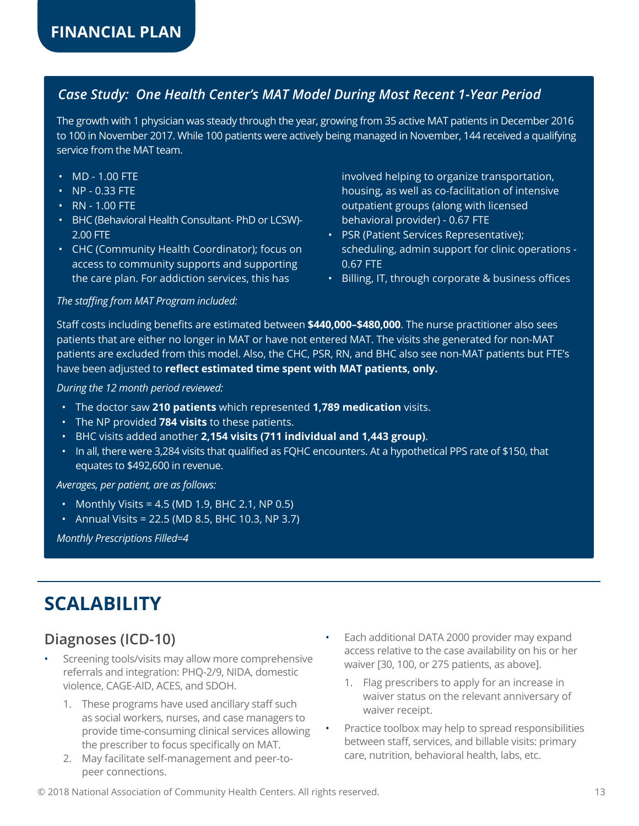### *Case Study: One Health Center's MAT Model During Most Recent 1-Year Period*

The growth with 1 physician was steady through the year, growing from 35 active MAT patients in December 2016 to 100 in November 2017. While 100 patients were actively being managed in November, 144 received a qualifying service from the MAT team.

- MD 1.00 FTE
- NP 0.33 FTE
- RN 1.00 FTE
- BHC (Behavioral Health Consultant- PhD or LCSW)- 2.00 FTE
- CHC (Community Health Coordinator); focus on access to community supports and supporting the care plan. For addiction services, this has

involved helping to organize transportation, housing, as well as co-facilitation of intensive outpatient groups (along with licensed behavioral provider) - 0.67 FTE

- PSR (Patient Services Representative); scheduling, admin support for clinic operations - 0.67 FTE
- Billing, IT, through corporate & business offices

#### *The staffing from MAT Program included:*

Staff costs including benefits are estimated between **\$440,000–\$480,000**. The nurse practitioner also sees patients that are either no longer in MAT or have not entered MAT. The visits she generated for non-MAT patients are excluded from this model. Also, the CHC, PSR, RN, and BHC also see non-MAT patients but FTE's have been adjusted to **reflect estimated time spent with MAT patients, only.**

*During the 12 month period reviewed:*

- The doctor saw **210 patients** which represented **1,789 medication** visits.
- The NP provided **784 visits** to these patients.
- BHC visits added another **2,154 visits (711 individual and 1,443 group)**.
- In all, there were 3,284 visits that qualified as FQHC encounters. At a hypothetical PPS rate of \$150, that equates to \$492,600 in revenue.

*Averages, per patient, are as follows:*

- Monthly Visits = 4.5 (MD 1.9, BHC 2.1, NP 0.5)
- Annual Visits = 22.5 (MD 8.5, BHC 10.3, NP 3.7)

*Monthly Prescriptions Filled=4*

## **SCALABILITY**

### **Diagnoses (ICD-10)**

- Screening tools/visits may allow more comprehensive referrals and integration: PHQ-2/9, NIDA, domestic violence, CAGE-AID, ACES, and SDOH.
	- 1. These programs have used ancillary staff such as social workers, nurses, and case managers to provide time-consuming clinical services allowing the prescriber to focus specifically on MAT.
	- 2. May facilitate self-management and peer-topeer connections.
- Each additional DATA 2000 provider may expand access relative to the case availability on his or her waiver [30, 100, or 275 patients, as above].
	- 1. Flag prescribers to apply for an increase in waiver status on the relevant anniversary of waiver receipt.
- Practice toolbox may help to spread responsibilities between staff, services, and billable visits: primary care, nutrition, behavioral health, labs, etc.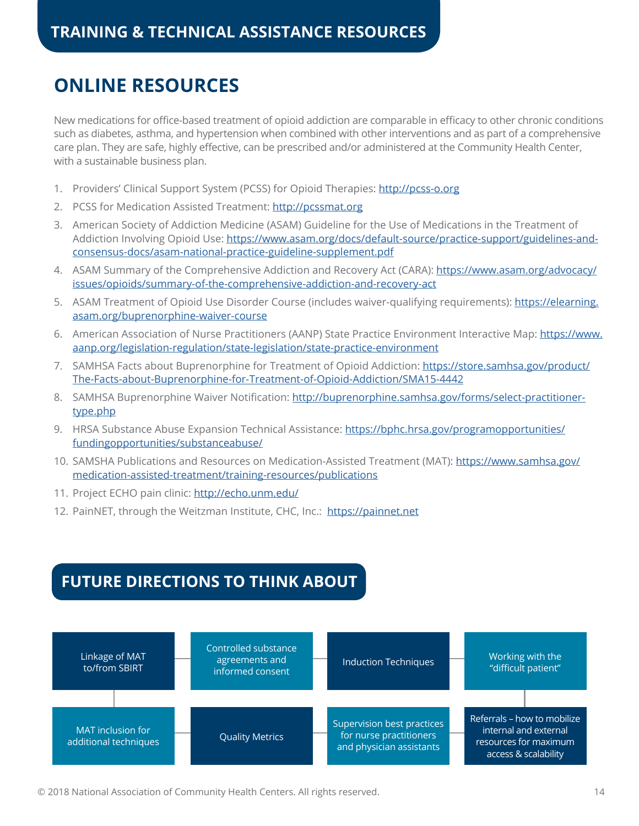# <span id="page-13-0"></span>**ONLINE RESOURCES**

New medications for office-based treatment of opioid addiction are comparable in efficacy to other chronic conditions such as diabetes, asthma, and hypertension when combined with other interventions and as part of a comprehensive care plan. They are safe, highly effective, can be prescribed and/or administered at the Community Health Center, with a sustainable business plan.

- 1. Providers' Clinical Support System (PCSS) for Opioid Therapies: [http://pcss-o.org](https://pcss-o.org/)
- 2. PCSS for Medication Assisted Treatment:<http://pcssmat.org>
- 3. American Society of Addiction Medicine (ASAM) Guideline for the Use of Medications in the Treatment of Addiction Involving Opioid Use: [https://www.asam.org/docs/default-source/practice-support/guidelines-and](https://www.asam.org/docs/default-source/practice-support/guidelines-and-consensus-docs/asam-national-practice-guideline-supplement.pdf)[consensus-docs/asam-national-practice-guideline-supplement.pdf](https://www.asam.org/docs/default-source/practice-support/guidelines-and-consensus-docs/asam-national-practice-guideline-supplement.pdf)
- 4. ASAM Summary of the Comprehensive Addiction and Recovery Act (CARA): [https://www.asam.org/advocacy/](https://www.asam.org/advocacy/issues/opioids/summary-of-the-comprehensive-addiction-and-recovery-act) [issues/opioids/summary-of-the-comprehensive-addiction-and-recovery-act](https://www.asam.org/advocacy/issues/opioids/summary-of-the-comprehensive-addiction-and-recovery-act)
- 5. ASAM Treatment of Opioid Use Disorder Course (includes waiver-qualifying requirements): [https://elearning.](https://elearning.asam.org/buprenorphine-waiver-course) [asam.org/buprenorphine-waiver-course](https://elearning.asam.org/buprenorphine-waiver-course)
- 6. American Association of Nurse Practitioners (AANP) State Practice Environment Interactive Map: [https://www.](https://www.aanp.org/legislation-regulation/state-legislation/state-practice-environment) [aanp.org/legislation-regulation/state-legislation/state-practice-environment](https://www.aanp.org/legislation-regulation/state-legislation/state-practice-environment)
- 7. SAMHSA Facts about Buprenorphine for Treatment of Opioid Addiction: [https://store.samhsa.gov/product/](https://store.samhsa.gov/product/The-Facts-about-Buprenorphine-for-Treatment-of-Opioid-Addiction/SMA15-4442) [The-Facts-about-Buprenorphine-for-Treatment-of-Opioid-Addiction/SMA15-4442](https://store.samhsa.gov/product/The-Facts-about-Buprenorphine-for-Treatment-of-Opioid-Addiction/SMA15-4442)
- 8. SAMHSA Buprenorphine Waiver Notification: [http://buprenorphine.samhsa.gov/forms/select-practitioner](http://buprenorphine.samhsa.gov/forms/select-practitioner-type.php)[type.php](http://buprenorphine.samhsa.gov/forms/select-practitioner-type.php)
- 9. HRSA Substance Abuse Expansion Technical Assistance[: https://bphc.hrsa.gov/programopportunities/](https://bphc.hrsa.gov/programopportunities/fundingopportunities/substanceabuse/) [fundingopportunities/substanceabuse/](https://bphc.hrsa.gov/programopportunities/fundingopportunities/substanceabuse/)
- 10. SAMSHA Publications and Resources on Medication-Assisted Treatment (MAT): [https://www.samhsa.gov/](https://www.samhsa.gov/medication-assisted-treatment/training-resources/publications ) [medication-assisted-treatment/training-resources/publications](https://www.samhsa.gov/medication-assisted-treatment/training-resources/publications )
- 11. Project ECHO pain clinic: [http://echo.unm.edu/](http://echo.unm.edu/ )
- 12. PainNET, through the Weitzman Institute, CHC, Inc.: <https://painnet.net>

### **FUTURE DIRECTIONS TO THINK ABOUT**

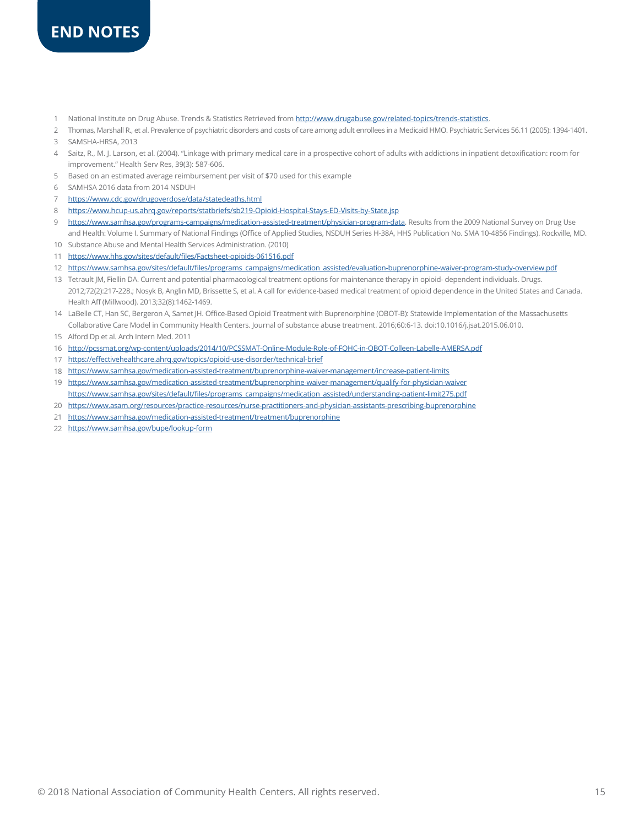

- 1 National Institute on Drug Abuse. Trends & Statistics Retrieved from<http://www.drugabuse.gov/related-topics/trends-statistics>.
- 2 Thomas, Marshall R., et al. Prevalence of psychiatric disorders and costs of care among adult enrollees in a Medicaid HMO. Psychiatric Services 56.11 (2005): 1394-1401. 3 SAMSHA-HRSA, 2013 SAMSHA-HRSA, 2013
- 
- 4 Saitz, R., M. J. Larson, et al. (2004). "Linkage with primary medical care in a prospective cohort of adults with addictions in inpatient detoxification: room for improvement." Health Serv Res, 39(3): 587-606. improvement." Health Serv Res, 39(3): 587-606.
- 5 Based on an estimated average reimbursement per visit of \$70 used for this example Based on an estimated average reimbursement per visit of \$70 used for this example
- 6 SAMHSA 2016 data from 2014 NSDUH SAMHSA 2016 data from 2014 NSDUH
- 7 https://www.cdc.gov/drugoverdose/data/statedeaths.html <https://www.cdc.gov/drugoverdose/data/statedeaths.html>
- 8 https://www.hcup-us.ahrq.gov/reports/statbriefs/sb219-Opioid-Hospital-Stays-ED-Visits-by-State.jsp <https://www.hcup-us.ahrq.gov/reports/statbriefs/sb219-Opioid-Hospital-Stays-ED-Visits-by-State.jsp>
- 9 <https://www.samhsa.gov/programs-campaigns/medication-assisted-treatment/physician-program-data>. Results from the 2009 National Survey on Drug Use and Health: Volume I. Summary of National Findings (Office of Applied Studies, NSDUH Series H-38A, HHS Publication No. SMA 10-4856 Findings). Rockville, MD.
- 10 Substance Abuse and Mental Health Services Administration. (2010) Substance Abuse and Mental Health Services Administration. (2010)
- 11<https://www.hhs.gov/sites/default/files/Factsheet-opioids-061516.pdf> https://www.hhs.gov/sites/default/files/Factsheet-opioids-061516.pdf
- 12 [https://www.samhsa.gov/sites/default/files/programs\\_campaigns/medication\\_assisted/evaluation-buprenorphine-waiver-program-study-overview.pdf](https://www.samhsa.gov/sites/default/files/programs_campaigns/medication_assisted/evaluation-buprenorphine-waiver-program-study-overview.pdf)
- 13 Tetrault JM, Fiellin DA. Current and potential pharmacological treatment options for maintenance therapy in opioid- dependent individuals. Drugs. 2012;72(2):217-228.; Nosyk B, Anglin MD, Brissette S, et al. A call for evidence-based medical treatment of opioid dependence in the United States and Canada. Health Aff (Millwood). 2013;32(8):1462-1469. Health Aff (Millwood). 2013;32(8):1462-1469.
- 14 LaBelle CT, Han SC, Bergeron A, Samet JH. Office-Based Opioid Treatment with Buprenorphine (OBOT-B): Statewide Implementation of the Massachusetts Collaborative Care Model in Community Health Centers. Journal of substance abuse treatment. 2016;60:6-13. doi:10.1016/j.jsat.2015.06.010.
- 15 Alford Dp et al. Arch Intern Med. 2011
- 16 <http://pcssmat.org/wp-content/uploads/2014/10/PCSSMAT-Online-Module-Role-of-FQHC-in-OBOT-Colleen-Labelle-AMERSA.pdf>
- 17 <https://effectivehealthcare.ahrq.gov/topics/opioid-use-disorder/technical-brief>
- 18 <https://www.samhsa.gov/medication-assisted-treatment/buprenorphine-waiver-management/increase-patient-limits>
- 19 <https://www.samhsa.gov/medication-assisted-treatment/buprenorphine-waiver-management/qualify-for-physician-waiver> [https://www.samhsa.gov/sites/default/files/programs\\_campaigns/medication\\_assisted/understanding-patient-limit275.pdf](https://www.samhsa.gov/sites/default/files/programs_campaigns/medication_assisted/understanding-patient-limit275.pdf)
- 20 https://www.asam.org/resources/practice-resources/nurse-practitioners-and-physician-assistants-prescribing-buprenorphine
- 21 [https://www.samhsa.gov/medication-assisted-treatment/treatment/buprenorphine](https://www.samhsa.gov/medication-assisted-treatment/treatment/buprenorphine )
- 22 <https://www.samhsa.gov/bupe/lookup-form>